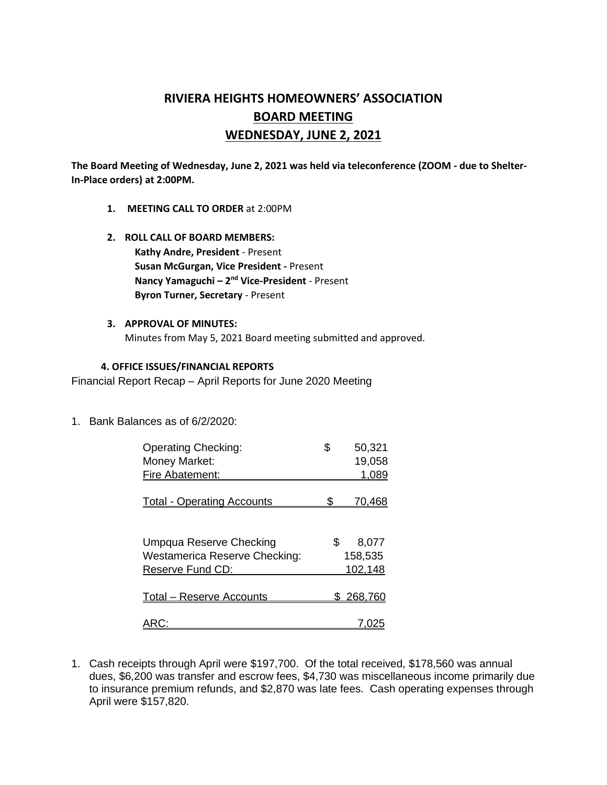# **RIVIERA HEIGHTS HOMEOWNERS' ASSOCIATION BOARD MEETING WEDNESDAY, JUNE 2, 2021**

**The Board Meeting of Wednesday, June 2, 2021 was held via teleconference (ZOOM - due to Shelter-In-Place orders) at 2:00PM.** 

- **1. MEETING CALL TO ORDER** at 2:00PM
- **2. ROLL CALL OF BOARD MEMBERS: Kathy Andre, President** - Present **Susan McGurgan, Vice President -** Present **Nancy Yamaguchi – 2<sup>nd</sup> Vice-President** - Present **Byron Turner, Secretary** - Present
- **3. APPROVAL OF MINUTES:**  Minutes from May 5, 2021 Board meeting submitted and approved.

### **4. OFFICE ISSUES/FINANCIAL REPORTS**

Financial Report Recap – April Reports for June 2020 Meeting

1. Bank Balances as of 6/2/2020:

| <b>Operating Checking:</b>           | \$ | 50,321        |
|--------------------------------------|----|---------------|
| Money Market:                        |    | 19,058        |
| Fire Abatement:                      |    | 1,089         |
|                                      |    |               |
| <b>Total - Operating Accounts</b>    |    | <u>70,468</u> |
|                                      |    |               |
| Umpqua Reserve Checking              | S  | 8,077         |
| <b>Westamerica Reserve Checking:</b> |    | 158,535       |
| Reserve Fund CD:                     |    | 102,148       |
|                                      |    |               |
| <b>Total - Reserve Accounts</b>      |    | 268,760       |
|                                      |    |               |
|                                      |    |               |

1. Cash receipts through April were \$197,700. Of the total received, \$178,560 was annual dues, \$6,200 was transfer and escrow fees, \$4,730 was miscellaneous income primarily due to insurance premium refunds, and \$2,870 was late fees. Cash operating expenses through April were \$157,820.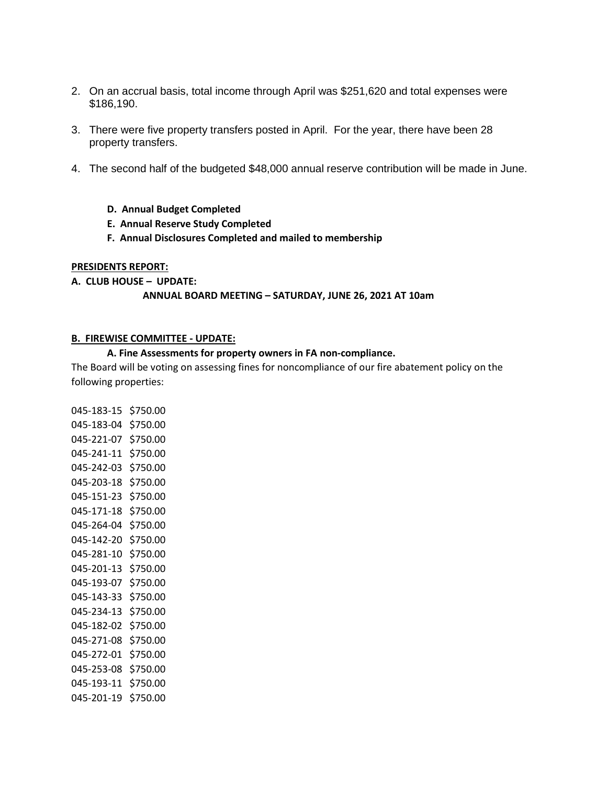- 2. On an accrual basis, total income through April was \$251,620 and total expenses were \$186,190.
- 3. There were five property transfers posted in April. For the year, there have been 28 property transfers.
- 4. The second half of the budgeted \$48,000 annual reserve contribution will be made in June.
	- **D. Annual Budget Completed**
	- **E. Annual Reserve Study Completed**
	- **F. Annual Disclosures Completed and mailed to membership**

### **PRESIDENTS REPORT:**

### **A. CLUB HOUSE – UPDATE:**

#### **ANNUAL BOARD MEETING – SATURDAY, JUNE 26, 2021 AT 10am**

#### **B. FIREWISE COMMITTEE - UPDATE:**

#### **A. Fine Assessments for property owners in FA non-compliance.**

The Board will be voting on assessing fines for noncompliance of our fire abatement policy on the following properties:

045-183-15 \$750.00 045-183-04 \$750.00 045-221-07 \$750.00 045-241-11 \$750.00 045-242-03 \$750.00 045-203-18 \$750.00 045-151-23 \$750.00 045-171-18 \$750.00 045-264-04 \$750.00 045-142-20 \$750.00 045-281-10 \$750.00 045-201-13 \$750.00 045-193-07 \$750.00 045-143-33 \$750.00 045-234-13 \$750.00 045-182-02 \$750.00 045-271-08 \$750.00 045-272-01 \$750.00 045-253-08 \$750.00 045-193-11 \$750.00 045-201-19 \$750.00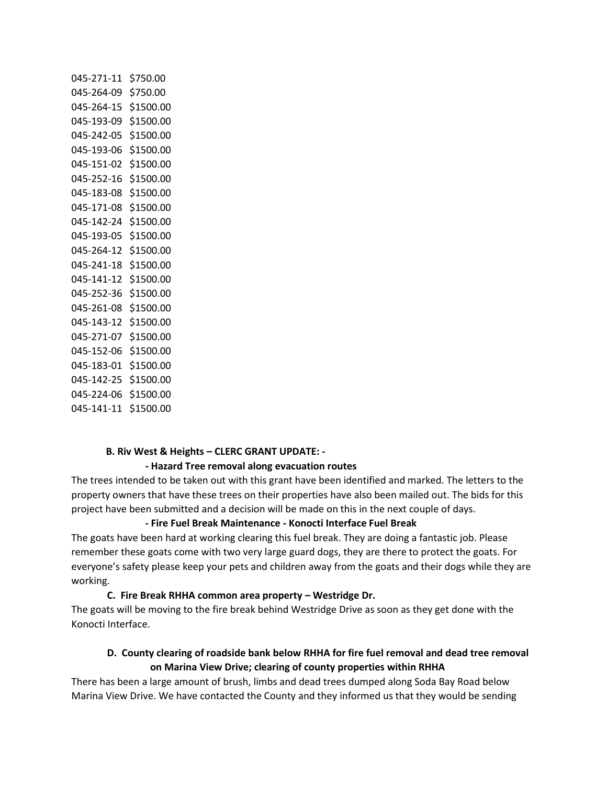| 045-271-11           | \$750.00  |
|----------------------|-----------|
| 045-264-09           | \$750.00  |
| 045-264-15           | \$1500.00 |
| 045-193-09           | \$1500.00 |
| 045-242-05           | \$1500.00 |
| 045-193-06           | \$1500.00 |
| 045-151-02           | \$1500.00 |
| 045-252-16           | \$1500.00 |
| 045-183-08           | \$1500.00 |
| 045-171-08           | \$1500.00 |
| 045-142-24           | \$1500.00 |
| 045-193-05           | \$1500.00 |
| 045-264-12           | \$1500.00 |
| 045-241-18           | \$1500.00 |
| 045-141-12           | \$1500.00 |
| 045-252-36           | \$1500.00 |
| 045-261-08           | \$1500.00 |
| 045-143-12           | \$1500.00 |
| 045-271-07           | \$1500.00 |
| 045-152-06           | \$1500.00 |
| 045-183-01           | \$1500.00 |
| 045-142-25 \$1500.00 |           |
| 045-224-06 \$1500.00 |           |
| 045-141-11           | \$1500.00 |

#### **B. Riv West & Heights – CLERC GRANT UPDATE: -**

#### **- Hazard Tree removal along evacuation routes**

The trees intended to be taken out with this grant have been identified and marked. The letters to the property owners that have these trees on their properties have also been mailed out. The bids for this project have been submitted and a decision will be made on this in the next couple of days.

### **- Fire Fuel Break Maintenance - Konocti Interface Fuel Break**

The goats have been hard at working clearing this fuel break. They are doing a fantastic job. Please remember these goats come with two very large guard dogs, they are there to protect the goats. For everyone's safety please keep your pets and children away from the goats and their dogs while they are working.

### **C. Fire Break RHHA common area property – Westridge Dr.**

The goats will be moving to the fire break behind Westridge Drive as soon as they get done with the Konocti Interface.

### **D. County clearing of roadside bank below RHHA for fire fuel removal and dead tree removal on Marina View Drive; clearing of county properties within RHHA**

There has been a large amount of brush, limbs and dead trees dumped along Soda Bay Road below Marina View Drive. We have contacted the County and they informed us that they would be sending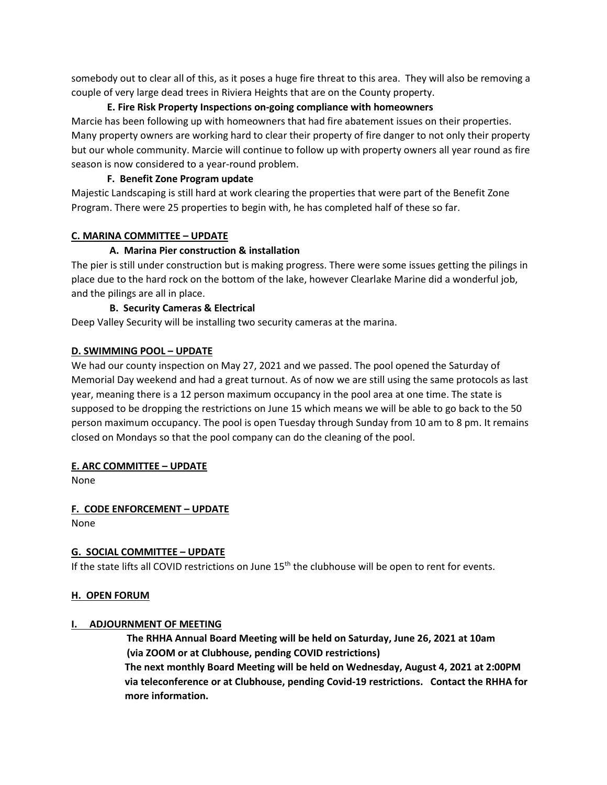somebody out to clear all of this, as it poses a huge fire threat to this area. They will also be removing a couple of very large dead trees in Riviera Heights that are on the County property.

# **E. Fire Risk Property Inspections on-going compliance with homeowners**

Marcie has been following up with homeowners that had fire abatement issues on their properties. Many property owners are working hard to clear their property of fire danger to not only their property but our whole community. Marcie will continue to follow up with property owners all year round as fire season is now considered to a year-round problem.

### **F. Benefit Zone Program update**

Majestic Landscaping is still hard at work clearing the properties that were part of the Benefit Zone Program. There were 25 properties to begin with, he has completed half of these so far.

### **C. MARINA COMMITTEE – UPDATE**

# **A. Marina Pier construction & installation**

The pier is still under construction but is making progress. There were some issues getting the pilings in place due to the hard rock on the bottom of the lake, however Clearlake Marine did a wonderful job, and the pilings are all in place.

# **B. Security Cameras & Electrical**

Deep Valley Security will be installing two security cameras at the marina.

# **D. SWIMMING POOL – UPDATE**

We had our county inspection on May 27, 2021 and we passed. The pool opened the Saturday of Memorial Day weekend and had a great turnout. As of now we are still using the same protocols as last year, meaning there is a 12 person maximum occupancy in the pool area at one time. The state is supposed to be dropping the restrictions on June 15 which means we will be able to go back to the 50 person maximum occupancy. The pool is open Tuesday through Sunday from 10 am to 8 pm. It remains closed on Mondays so that the pool company can do the cleaning of the pool.

### **E. ARC COMMITTEE – UPDATE**

None

**F. CODE ENFORCEMENT – UPDATE** None

# **G. SOCIAL COMMITTEE – UPDATE**

If the state lifts all COVID restrictions on June 15<sup>th</sup> the clubhouse will be open to rent for events.

# **H. OPEN FORUM**

### **I. ADJOURNMENT OF MEETING**

 **The RHHA Annual Board Meeting will be held on Saturday, June 26, 2021 at 10am (via ZOOM or at Clubhouse, pending COVID restrictions)**

**The next monthly Board Meeting will be held on Wednesday, August 4, 2021 at 2:00PM via teleconference or at Clubhouse, pending Covid-19 restrictions. Contact the RHHA for more information.**